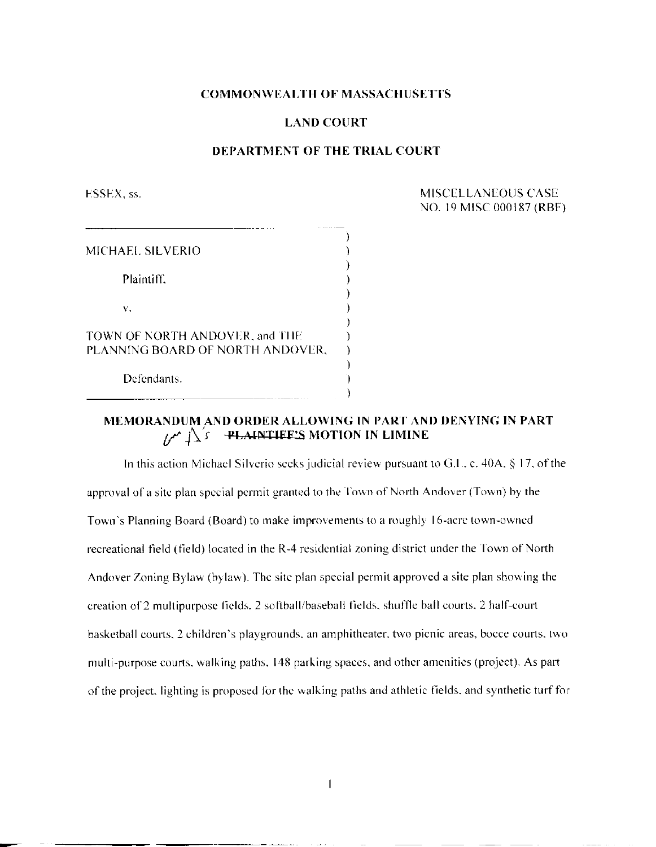## **COMMONWEALTH OF MASSACHUSETTS**

## **LAND COURT**

## **DEPARTMENT OF THE TRIAL COURT**

ESSEX, ss. MISCELLANEOUS CASE NO. 19 M1SC 000187 (RBF)

| MICHAEL SILVERIO                                                   |  |
|--------------------------------------------------------------------|--|
| Plaintiff.                                                         |  |
| v.                                                                 |  |
| TOWN OF NORTH ANDOVER, and THE<br>PLANNING BOARD OF NORTH ANDOVER. |  |
| Defendants.                                                        |  |
|                                                                    |  |

# **MEMORANDUM AND ORDER ALLOWING IN PART AND DENYING IN PART**  $\Lambda^*$   $\Lambda$   $\Lambda$  **-PLAINTIFE'S** MOTION IN LIMINE

In this action Michael Silverio seeks judicial review pursuant to G.L. c. 40A, § 17, of the approval of a site plan special permit granted to the Town of North Andover (Town) by the Town's Planning Board (Board) to make improvements to a roughly 16-acre town-owned recreational field (field) located in the R-4 residential zoning district under the Town of North Andover Zoning Bylaw (bylaw). The site plan special permit approved a site plan showing the creation of 2 multipurpose fields, 2 softball/baseball fields, shuffle ball courts. 2 half-court basketball courts. 2 children's playgrounds, an amphitheater, two picnic areas, bocce courts, two multi-purpose courts, walking paths, 148 parking spaces, and other amenities (project). As part of the project, lighting is proposed for the walking paths and athletic fields, and synthetic turf for

 $\overline{1}$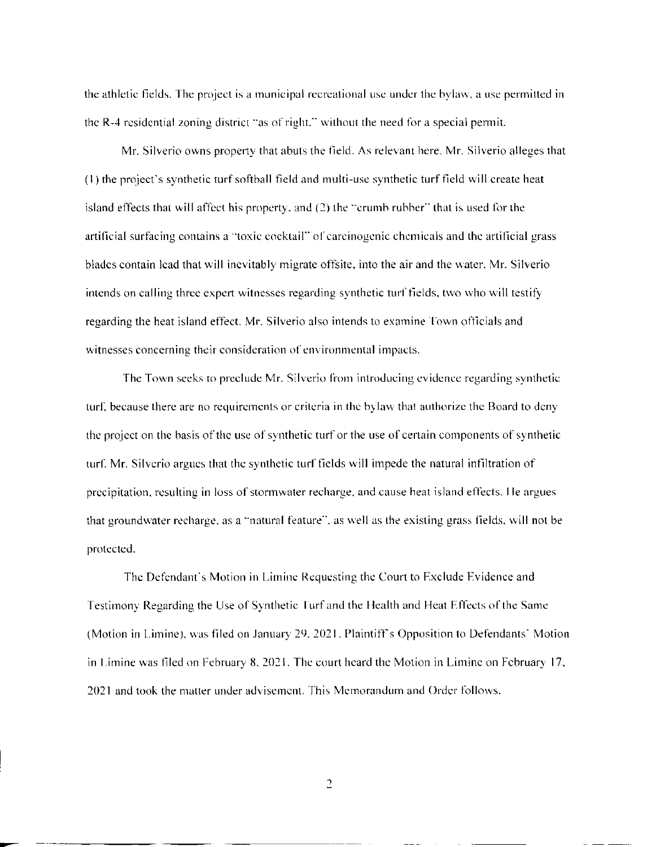the athletic fields. The project is a municipal recreational use under the bylaw, a use permitted in the R-4 residential zoning district "as of right," without the need for a special permit.

Mr. Silverio owns property that abuts the field. As relevant here, Mr. Silverio alleges that (1) the project's synthetic turf softball field and multi-use synthetic turf field will create heat island effects that will affect his property, and (2) the "crumb rubber" that is used for the artificial surfacing contains a "toxic cocktail" of carcinogenic chemicals and the artificial grass blades contain lead that will inevitably migrate offsite, into the air and the water. Mr. Silverio intends on calling three expert witnesses regarding synthetic turf fields, two who will testify regarding the heat island effect. Mr. Silverio also intends to examine Town officials and witnesses concerning their consideration of environmental impacts.

The Town seeks to preclude Mr. Silverio from introducing evidence regarding synthetic turf, because there are no requirements or criteria in the bylaw that authorize the Board to deny the project on the basis of the use of synthetic turf or the use of certain components of synthetic turf. Mr. Silverio argues that the synthetic turf fields will impede the natural infiltration of precipitation, resulting in loss of stormwater recharge, and cause heat island effects. He argues that groundwater recharge, as a "natural feature", as well as the existing grass fields, will not be protected.

The Defendant's Motion in Limine Requesting the Court to Exclude Evidence and Testimony Regarding the Use of Synthetic Turf and the Health and Heat Effects of the Same (Motion in Limine), was filed on January 29, 2021. Plaintiffs Opposition to Defendants' Motion in Limine was filed on February 8, 2021. The court heard the Motion in Limine on February 17, 2021 and took the matter under advisement. This Memorandum and Order follows.

 $\overline{2}$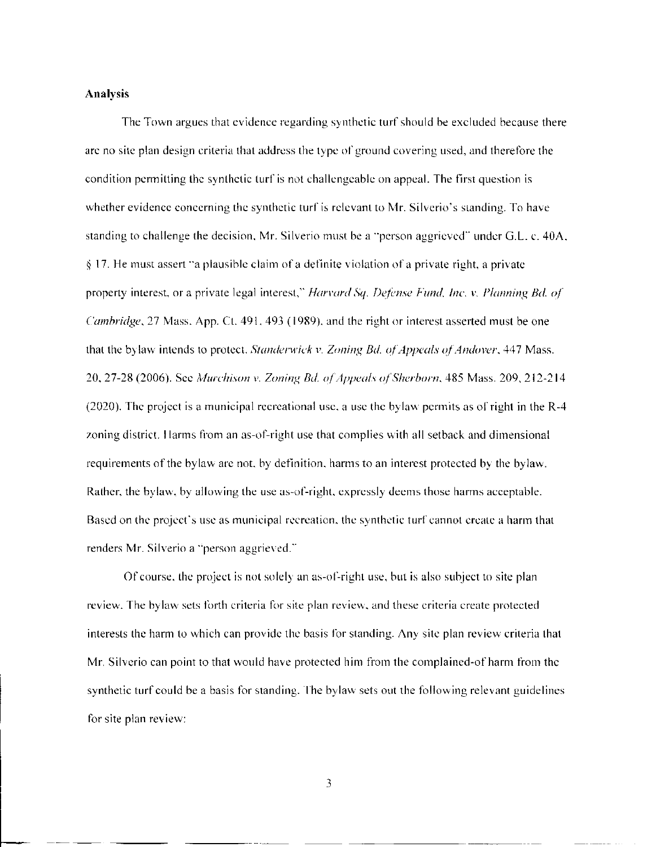### **Analysis**

The Town argues that evidence regarding synthetic turf should be excluded because there are no site plan design criteria that address the type of ground covering used, and therefore the condition permitting the synthetic turf is not challengeable on appeal. The first question is whether evidence concerning the synthetic turf is relevant to Mr. Silverio's standing. To have standing to challenge the decision, Mr. Silverio must be a "person aggrieved" under G.L. c. 40A, § 17. He must assert "a plausible claim of a definite violation of a private right, a private property interest, or a private legal interest," *Harvard Sq. Defense Fund, Inc.* v. *Planning Bd. of Cambridge,* 27 Mass. App. Ct. 491, 493 (1989). and the right or interest asserted must be one that the bylaw intends to protect. *Slanderwick v. Zoning Bd. of Appeals of Andover,* 447 Mass. 20, 27-28 (2006). See *Mwchison* v. *Zoning Bd. of Appeals of Sherborn,* 485 Mass. 209, 212-214 (2020). The project is a municipal recreational use, a use the bylaw permits as of right in the R-4 zoning district. Harms from an as-of-right use that complies with all setback and dimensional requirements of the bylaw are not, by definition, harms to an interest protected by the bylaw. Rather, the bylaw, by allowing the use as-of-right. expressly deems those harms acceptable. Based on the project's use as municipal recreation, the synthetic turf cannot create a harm that renders Mr. Silverio a "person aggrieved."

Of course, the project is not solely an as-of-right use, but is also subject to site plan review. The bylaw sets forth criteria for site plan review, and these criteria create protected interests the harm to which can provide the basis for standing. Any site plan review criteria that Mr. Silverio can point to that would have protected him from the complained-of harm from the synthetic turf could be a basis for standing. The bylaw sets out the following relevant guidelines for site plan review:

3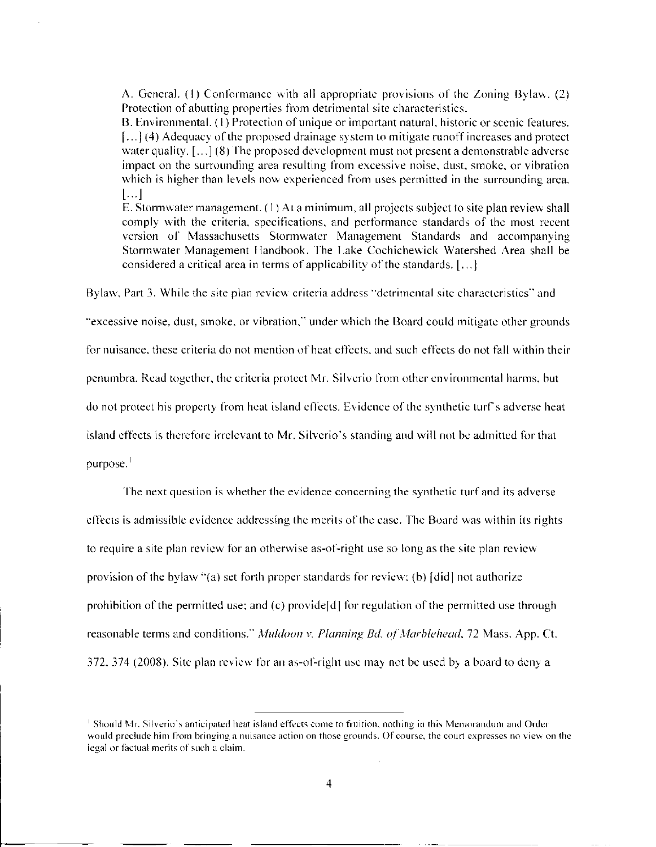A. General. (1) Conformance with all appropriate provisions of the Zoning Bylaw. (2) Protection of abutting properties from detrimental site characteristics.

B. Environmental. (1) Protection of unique or important natural, historic or scenic features. [...] (4) Adequacy of the proposed drainage system to mitigate runoff increases and protect water quality.  $\left[ \ldots \right]$  (8) The proposed development must not present a demonstrable adverse impact on the surrounding area resulting from excessive noise, dust, smoke, or vibration which is higher than levels now experienced from uses permitted in the surrounding area. [...]

E. Stormwater management. (1) At a minimum, ail projects subject to site plan review shall comply with the criteria, specifications, and performance standards of the most recent version of Massachusetts Stormwater Management Standards and accompanying Stormwater Management Handbook. The Lake Cochichewick Watershed Area shall be considered a critical area in terms of applicability of the standards. [...]

Bylaw, Part 3. While the site plan review criteria address "detrimental site characteristics" and

"excessive noise, dust, smoke, or vibration," under which the Board could mitigate other grounds

for nuisance, these criteria do not mention of heat effects, and such effects do not fall within their

penumbra. Read together, the criteria protect Mr. Silverio from other environmental harms, but

do not protect his property from heat island effects. Evidence of the synthetic turf s adverse heat

island effects is therefore irrelevant to Mr. Silverio's standing and will not be admitted for that

purpose. $<sup>1</sup>$ </sup>

The next question is whether the evidence concerning the synthetic turf and its adverse effects is admissible evidence addressing the merits of the case. The Board was within its rights to require a site plan review for an otherwise as-of-right use so long as the site plan review provision of the bylaw "(a) set forth proper standards for review: (b) [did] not authorize prohibition of the permitted use; and (c) providefd] for regulation of the permitted use through reasonable terms and conditions." *Muldoon v. Planning Bd. of Marblehead*, 72 Mass. App. Ct. 372. 374 (2008). Site plan review for an as-of-right use may not be used by a board to deny a

**<sup>1</sup> Should Mr. Silverio's anticipated heat island effects come to fruition, nothing in this Memorandum and Order would preclude him from bringing a nuisance action on those grounds. Of course, the court expresses no view on the legal or factual merits of such** a **claim.**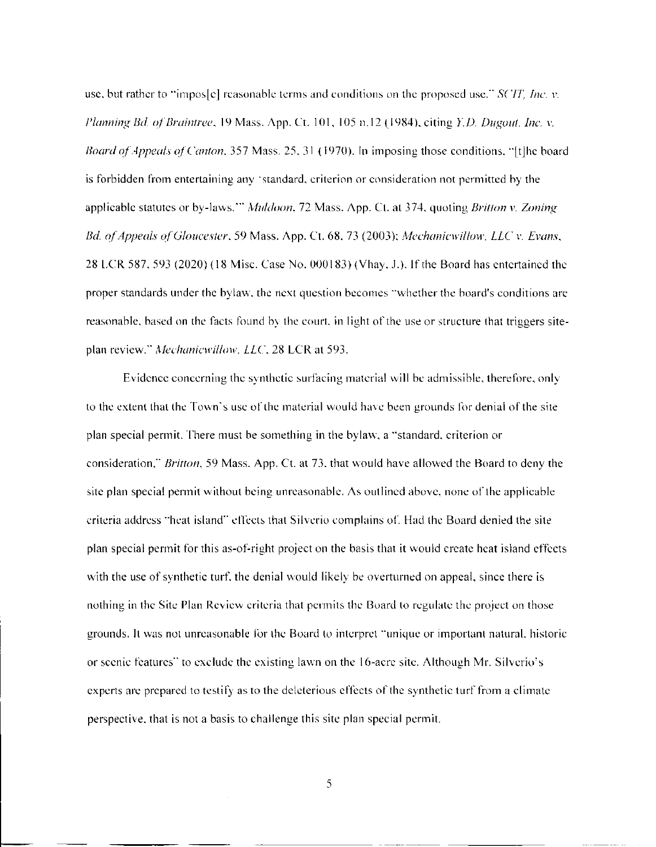use, but rather to "impos[ej reasonable terms and conditions on the proposed use." *SCJT, Inc. v. Planning Bd. ofBraintree,* 19 Mass. App. Ct. 101, 105 n. 12 (1984). citing *Y.D. Dugout. Inc.* v. *Board of Appeals of Canton,* 357 Mass. 25, 31 (1970). In imposing those conditions. "[t]he board is forbidden from entertaining any "standard, criterion or consideration not permitted by the applicable statutes or by-laws.'" *Muldoon.* 72 Mass. App. Ct. at 374, quoting *Britlon v. Zoning Bd. of Appeals of Gloucester,* 59 Mass. App. Ct. 68, 73 (2003); *Mechanicwillow, LLC v. Evans,*  28 LCR 587, 593 (2020) (18 Misc. Case No. 000183) (Vhay. J.). If the Board has entertained the proper standards under the bylaw, the next question becomes "whether the board's conditions are reasonable, based on the facts found by the court, in light of the use or structure that triggers siteplan review." Mechanicwillow. LLC, 28 LCR at 593.

Evidence concerning the synthetic surfacing material will be admissible, therefore, only to the extent that the Town's use of the material would have been grounds for denial of the site plan special permit. There must be something in the bylaw, a "standard, criterion or consideration," *Britton,* 59 Mass. App. Ct. at 73, that would have allowed the Board to deny the site plan special permit without being unreasonable. As outlined above, none of the applicable criteria address "heat island" effects that Silverio complains of. Had the Board denied the site plan special permit for this as-of-right project on the basis that it would create heat island effects with the use of synthetic turf, the denial would likely be overturned on appeal, since there is nothing in the Site Plan Review criteria that permits the Board to regulate the project on those grounds. It was not unreasonable for the Board to interpret "unique or important natural, historic or scenic features" to exclude the existing lawn on the 16-acre site. Although Mr. Silverio's experts are prepared to testify as to the deleterious effects of the synthetic turf from a climate perspective, that is not a basis to challenge this site plan special permit.

5